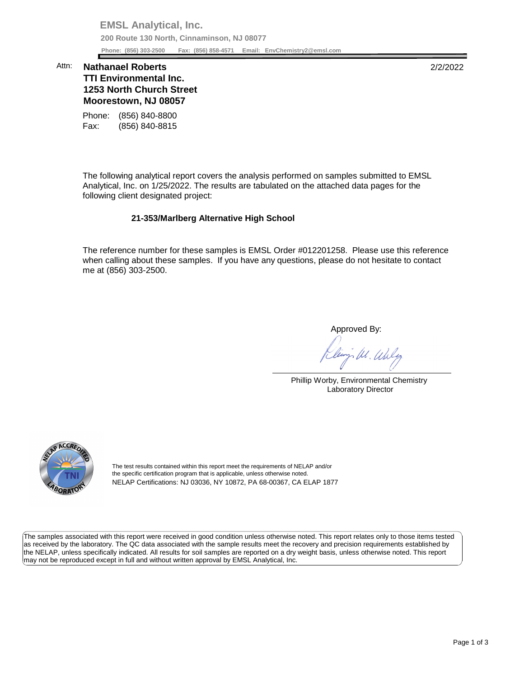**EMSL Analytical, Inc. 200 Route 130 North, Cinnaminson, NJ 08077 Phone: (856) 303-2500 Fax: (856) 858-4571 Email: [EnvChemistry2@emsl.com](mailto:EnvChemistry2@emsl.com)**  Phone: (856) 303-2500

## **Moorestown, NJ 08057**  Attn: **Nathanael Roberts** 2/2/2022 **TTI Environmental Inc. 1253 North Church Street**

Phone: (856) 840-8800 Fax: (856) 840-8815

 The following analytical report covers the analysis performed on samples submitted to EMSL Analytical, Inc. on 1/25/2022. The results are tabulated on the attached data pages for the following client designated project:

## **21-353/Marlberg Alternative High School**

 The reference number for these samples is EMSL Order #012201258. Please use this reference when calling about these samples. If you have any questions, please do not hesitate to contact me at (856) 303-2500.

Approved By:

W. Whly

Phillip Worby, Environmental Chemistry Laboratory Director



The test results contained within this report meet the requirements of NELAP and/or the specific certification program that is applicable, unless otherwise noted. NELAP Certifications: NJ 03036, NY 10872, PA 68-00367, CA ELAP 1877

 The samples associated with this report were received in good condition unless otherwise noted. This report relates only to those items tested as received by the laboratory. The QC data associated with the sample results meet the recovery and precision requirements established by the NELAP, unless specifically indicated. All results for soil samples are reported on a dry weight basis, unless otherwise noted. This report may not be reproduced except in full and without written approval by EMSL Analytical, Inc.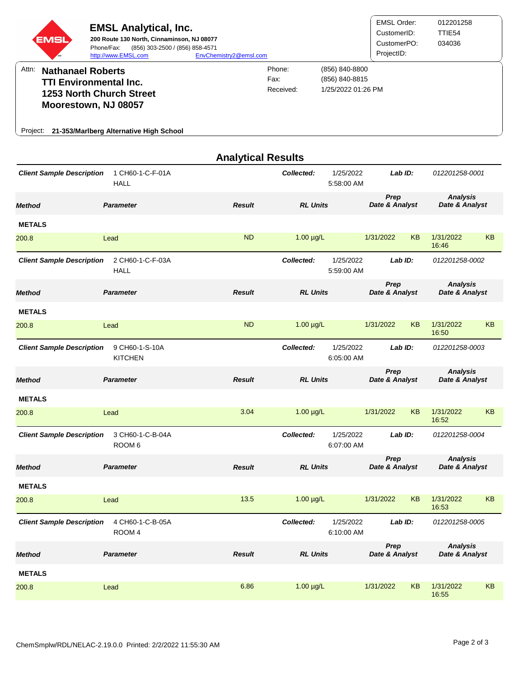| EMS<br>Attn:<br><b>Nathanael Roberts</b><br><b>TTI Environmental Inc.</b><br>1253 North Church Street<br>Moorestown, NJ 08057<br>Project: 21-353/Marlberg Alternative High School | <b>EMSL Analytical, Inc.</b><br>200 Route 130 North, Cinnaminson, NJ 08077<br>(856) 303-2500 / (856) 858-4571<br>Phone/Fax:<br>http://www.EMSL.com | EnvChemistry2@emsl.com    | Phone:<br>Fax:<br>Received: | (856) 840-8800<br>(856) 840-8815<br>1/25/2022 01:26 PM | <b>EMSL Order:</b><br>CustomerID:<br>CustomerPO:<br>ProjectID: |           | 012201258<br>TTIE54<br>034036     |    |
|-----------------------------------------------------------------------------------------------------------------------------------------------------------------------------------|----------------------------------------------------------------------------------------------------------------------------------------------------|---------------------------|-----------------------------|--------------------------------------------------------|----------------------------------------------------------------|-----------|-----------------------------------|----|
|                                                                                                                                                                                   |                                                                                                                                                    | <b>Analytical Results</b> |                             |                                                        |                                                                |           |                                   |    |
| <b>Client Sample Description</b>                                                                                                                                                  | 1 CH60-1-C-F-01A<br><b>HALL</b>                                                                                                                    |                           | Collected:                  | 1/25/2022<br>5:58:00 AM                                |                                                                | Lab ID:   | 012201258-0001                    |    |
| <b>Method</b>                                                                                                                                                                     | <b>Parameter</b>                                                                                                                                   | <b>Result</b>             | <b>RL Units</b>             |                                                        | Prep<br>Date & Analyst                                         |           | <b>Analysis</b><br>Date & Analyst |    |
| <b>METALS</b>                                                                                                                                                                     |                                                                                                                                                    |                           |                             |                                                        |                                                                |           |                                   |    |
| 200.8                                                                                                                                                                             | Lead                                                                                                                                               | <b>ND</b>                 | $1.00 \mu g/L$              |                                                        | 1/31/2022                                                      | <b>KB</b> | 1/31/2022<br>16:46                | KB |
| <b>Client Sample Description</b>                                                                                                                                                  | 2 CH60-1-C-F-03A<br><b>HALL</b>                                                                                                                    |                           | Collected:                  | 1/25/2022<br>5:59:00 AM                                |                                                                | Lab ID:   | 012201258-0002                    |    |
| <b>Method</b>                                                                                                                                                                     | <b>Parameter</b>                                                                                                                                   | <b>Result</b>             | <b>RL Units</b>             |                                                        | Prep<br>Date & Analyst                                         |           | <b>Analysis</b><br>Date & Analyst |    |
| <b>METALS</b>                                                                                                                                                                     |                                                                                                                                                    |                           |                             |                                                        |                                                                |           |                                   |    |
| 200.8                                                                                                                                                                             | Lead                                                                                                                                               | <b>ND</b>                 | $1.00 \mu g/L$              |                                                        | 1/31/2022                                                      | <b>KB</b> | 1/31/2022<br>16:50                | KB |
| <b>Client Sample Description</b>                                                                                                                                                  | 9 CH60-1-S-10A<br><b>KITCHEN</b>                                                                                                                   |                           | Collected:                  | 1/25/2022<br>6:05:00 AM                                |                                                                | LabID:    | 012201258-0003                    |    |
| <b>Method</b>                                                                                                                                                                     | <b>Parameter</b>                                                                                                                                   | <b>Result</b>             | <b>RL Units</b>             |                                                        | <b>Prep</b><br>Date & Analyst                                  |           | <b>Analysis</b><br>Date & Analyst |    |
| <b>METALS</b>                                                                                                                                                                     |                                                                                                                                                    |                           |                             |                                                        |                                                                |           |                                   |    |
| 200.8                                                                                                                                                                             | Lead                                                                                                                                               | 3.04                      | $1.00 \mu g/L$              |                                                        | 1/31/2022                                                      | <b>KB</b> | 1/31/2022<br>16:52                | KB |
| <b>Client Sample Description</b>                                                                                                                                                  | 3 CH60-1-C-B-04A<br>ROOM <sub>6</sub>                                                                                                              |                           | Collected:                  | 1/25/2022<br>6:07:00 AM                                |                                                                | Lab ID:   | 012201258-0004                    |    |
| <b>Method</b>                                                                                                                                                                     | <b>Parameter</b>                                                                                                                                   | <b>Result</b>             | <b>RL Units</b>             |                                                        | Prep<br>Date & Analyst                                         |           | <b>Analysis</b><br>Date & Analyst |    |
| <b>METALS</b>                                                                                                                                                                     |                                                                                                                                                    |                           |                             |                                                        |                                                                |           |                                   |    |

| 200.8                                                          | Lead             | 13.5          | $1.00 \mu g/L$                        | <b>KB</b><br>1/31/2022 | <b>KB</b><br>1/31/2022<br>16:53   |  |
|----------------------------------------------------------------|------------------|---------------|---------------------------------------|------------------------|-----------------------------------|--|
| 4 CH60-1-C-B-05A<br><b>Client Sample Description</b><br>ROOM 4 |                  |               | 1/25/2022<br>Collected:<br>6:10:00 AM | Lab ID:                | 012201258-0005                    |  |
| <b>Method</b>                                                  | <b>Parameter</b> | <b>Result</b> | <b>RL Units</b>                       | Prep<br>Date & Analyst | <b>Analysis</b><br>Date & Analyst |  |
| <b>METALS</b>                                                  |                  |               |                                       |                        |                                   |  |
| 200.8                                                          | Lead             | 6.86          | $1.00 \mu g/L$                        | <b>KB</b><br>1/31/2022 | <b>KB</b><br>1/31/2022<br>16:55   |  |